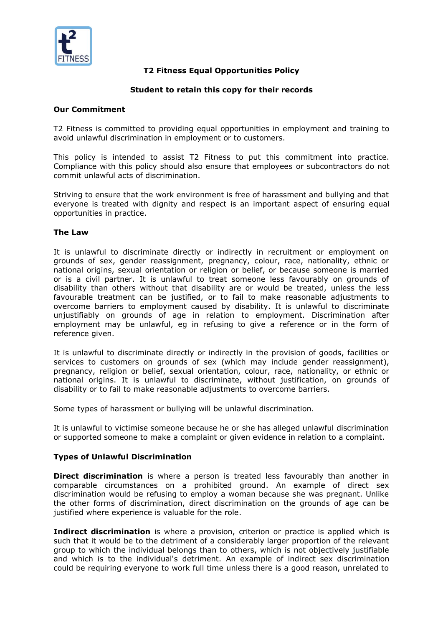

# **T2 Fitness Equal Opportunities Policy**

# **Student to retain this copy for their records**

### **Our Commitment**

T2 Fitness is committed to providing equal opportunities in employment and training to avoid unlawful discrimination in employment or to customers.

This policy is intended to assist T2 Fitness to put this commitment into practice. Compliance with this policy should also ensure that employees or subcontractors do not commit unlawful acts of discrimination.

Striving to ensure that the work environment is free of harassment and bullying and that everyone is treated with dignity and respect is an important aspect of ensuring equal opportunities in practice.

### **The Law**

It is unlawful to discriminate directly or indirectly in recruitment or employment on grounds of sex, gender reassignment, pregnancy, colour, race, nationality, ethnic or national origins, sexual orientation or religion or belief, or because someone is married or is a civil partner. It is unlawful to treat someone less favourably on grounds of disability than others without that disability are or would be treated, unless the less favourable treatment can be justified, or to fail to make reasonable adjustments to overcome barriers to employment caused by disability. It is unlawful to discriminate unjustifiably on grounds of age in relation to employment. Discrimination after employment may be unlawful, eg in refusing to give a reference or in the form of reference given.

It is unlawful to discriminate directly or indirectly in the provision of goods, facilities or services to customers on grounds of sex (which may include gender reassignment), pregnancy, religion or belief, sexual orientation, colour, race, nationality, or ethnic or national origins. It is unlawful to discriminate, without justification, on grounds of disability or to fail to make reasonable adjustments to overcome barriers.

Some types of harassment or bullying will be unlawful discrimination.

It is unlawful to victimise someone because he or she has alleged unlawful discrimination or supported someone to make a complaint or given evidence in relation to a complaint.

### **Types of Unlawful Discrimination**

**Direct discrimination** is where a person is treated less favourably than another in comparable circumstances on a prohibited ground. An example of direct sex discrimination would be refusing to employ a woman because she was pregnant. Unlike the other forms of discrimination, direct discrimination on the grounds of age can be justified where experience is valuable for the role.

**Indirect discrimination** is where a provision, criterion or practice is applied which is such that it would be to the detriment of a considerably larger proportion of the relevant group to which the individual belongs than to others, which is not objectively justifiable and which is to the individual's detriment. An example of indirect sex discrimination could be requiring everyone to work full time unless there is a good reason, unrelated to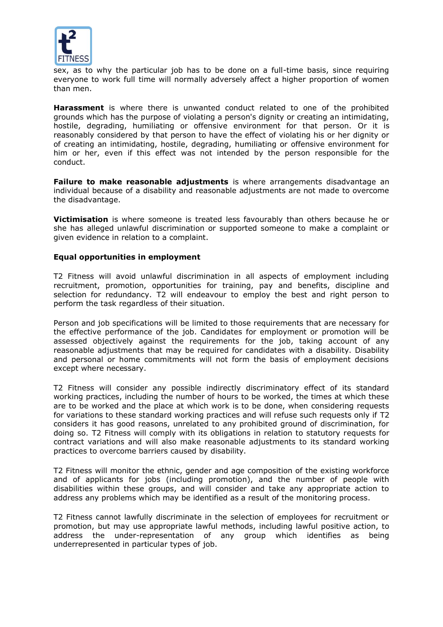

sex, as to why the particular job has to be done on a full-time basis, since requiring everyone to work full time will normally adversely affect a higher proportion of women than men.

**Harassment** is where there is unwanted conduct related to one of the prohibited grounds which has the purpose of violating a person's dignity or creating an intimidating, hostile, degrading, humiliating or offensive environment for that person. Or it is reasonably considered by that person to have the effect of violating his or her dignity or of creating an intimidating, hostile, degrading, humiliating or offensive environment for him or her, even if this effect was not intended by the person responsible for the conduct.

**Failure to make reasonable adjustments** is where arrangements disadvantage an individual because of a disability and reasonable adjustments are not made to overcome the disadvantage.

**Victimisation** is where someone is treated less favourably than others because he or she has alleged unlawful discrimination or supported someone to make a complaint or given evidence in relation to a complaint.

### **Equal opportunities in employment**

T2 Fitness will avoid unlawful discrimination in all aspects of employment including recruitment, promotion, opportunities for training, pay and benefits, discipline and selection for redundancy. T2 will endeavour to employ the best and right person to perform the task regardless of their situation.

Person and job specifications will be limited to those requirements that are necessary for the effective performance of the job. Candidates for employment or promotion will be assessed objectively against the requirements for the job, taking account of any reasonable adjustments that may be required for candidates with a disability. Disability and personal or home commitments will not form the basis of employment decisions except where necessary.

T2 Fitness will consider any possible indirectly discriminatory effect of its standard working practices, including the number of hours to be worked, the times at which these are to be worked and the place at which work is to be done, when considering requests for variations to these standard working practices and will refuse such requests only if T2 considers it has good reasons, unrelated to any prohibited ground of discrimination, for doing so. T2 Fitness will comply with its obligations in relation to statutory requests for contract variations and will also make reasonable adjustments to its standard working practices to overcome barriers caused by disability.

T2 Fitness will monitor the ethnic, gender and age composition of the existing workforce and of applicants for jobs (including promotion), and the number of people with disabilities within these groups, and will consider and take any appropriate action to address any problems which may be identified as a result of the monitoring process.

T2 Fitness cannot lawfully discriminate in the selection of employees for recruitment or promotion, but may use appropriate lawful methods, including lawful positive action, to address the under-representation of any group which identifies as being underrepresented in particular types of job.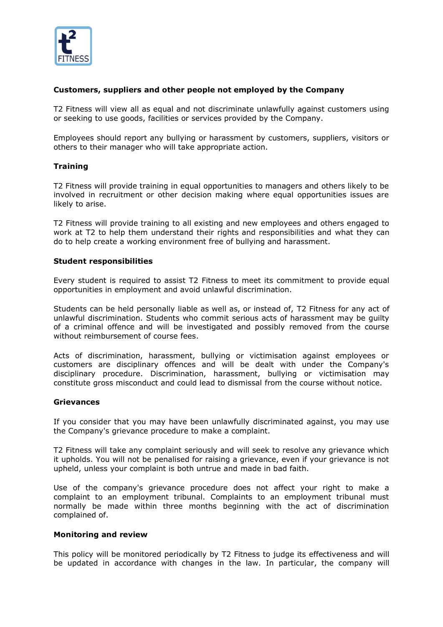

# **Customers, suppliers and other people not employed by the Company**

T2 Fitness will view all as equal and not discriminate unlawfully against customers using or seeking to use goods, facilities or services provided by the Company.

Employees should report any bullying or harassment by customers, suppliers, visitors or others to their manager who will take appropriate action.

### **Training**

T2 Fitness will provide training in equal opportunities to managers and others likely to be involved in recruitment or other decision making where equal opportunities issues are likely to arise.

T2 Fitness will provide training to all existing and new employees and others engaged to work at T2 to help them understand their rights and responsibilities and what they can do to help create a working environment free of bullying and harassment.

### **Student responsibilities**

Every student is required to assist T2 Fitness to meet its commitment to provide equal opportunities in employment and avoid unlawful discrimination.

Students can be held personally liable as well as, or instead of, T2 Fitness for any act of unlawful discrimination. Students who commit serious acts of harassment may be guilty of a criminal offence and will be investigated and possibly removed from the course without reimbursement of course fees.

Acts of discrimination, harassment, bullying or victimisation against employees or customers are disciplinary offences and will be dealt with under the Company's disciplinary procedure. Discrimination, harassment, bullying or victimisation may constitute gross misconduct and could lead to dismissal from the course without notice.

### **Grievances**

If you consider that you may have been unlawfully discriminated against, you may use the Company's grievance procedure to make a complaint.

T2 Fitness will take any complaint seriously and will seek to resolve any grievance which it upholds. You will not be penalised for raising a grievance, even if your grievance is not upheld, unless your complaint is both untrue and made in bad faith.

Use of the company's grievance procedure does not affect your right to make a complaint to an employment tribunal. Complaints to an employment tribunal must normally be made within three months beginning with the act of discrimination complained of.

### **Monitoring and review**

This policy will be monitored periodically by T2 Fitness to judge its effectiveness and will be updated in accordance with changes in the law. In particular, the company will